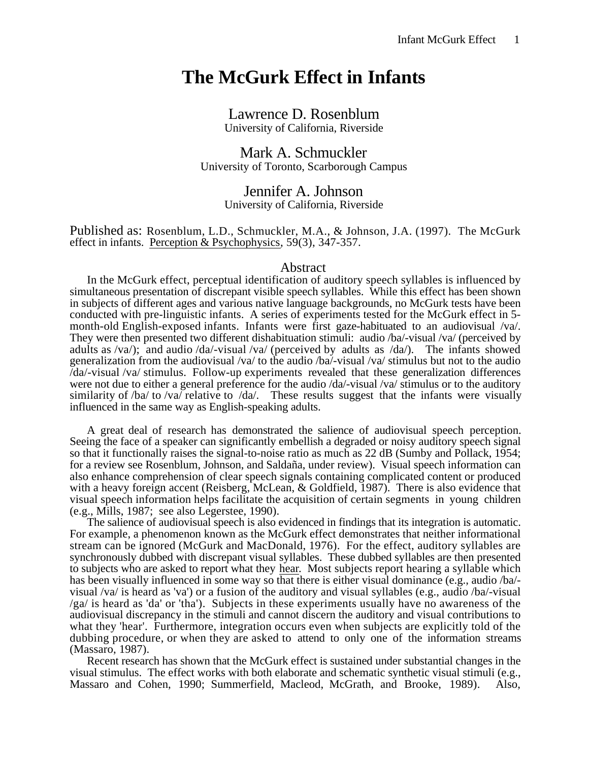# **The McGurk Effect in Infants**

Lawrence D. Rosenblum University of California, Riverside

Mark A. Schmuckler University of Toronto, Scarborough Campus

> Jennifer A. Johnson University of California, Riverside

Published as: Rosenblum, L.D., Schmuckler, M.A., & Johnson, J.A. (1997). The McGurk effect in infants. Perception & Psychophysics , 59(3), 347-357.

#### Abstract

In the McGurk effect, perceptual identification of auditory speech syllables is influenced by simultaneous presentation of discrepant visible speech syllables. While this effect has been shown in subjects of different ages and various native language backgrounds, no McGurk tests have been conducted with pre-linguistic infants. A series of experiments tested for the McGurk effect in 5 month-old English-exposed infants. Infants were first gaze-habituated to an audiovisual /va/. They were then presented two different dishabituation stimuli: audio /ba/-visual /va/ (perceived by adults as /va/); and audio /da/-visual /va/ (perceived by adults as /da/). The infants showed generalization from the audiovisual /va/ to the audio /ba/-visual /va/ stimulus but not to the audio /da/-visual /va/ stimulus. Follow-up experiments revealed that these generalization differences were not due to either a general preference for the audio /da/-visual /va/ stimulus or to the auditory similarity of /ba/ to /va/ relative to /da/. These results suggest that the infants were visually influenced in the same way as English-speaking adults.

A great deal of research has demonstrated the salience of audiovisual speech perception. Seeing the face of a speaker can significantly embellish a degraded or noisy auditory speech signal so that it functionally raises the signal-to-noise ratio as much as 22 dB (Sumby and Pollack, 1954; for a review see Rosenblum, Johnson, and Saldaña, under review). Visual speech information can also enhance comprehension of clear speech signals containing complicated content or produced with a heavy foreign accent (Reisberg, McLean, & Goldfield, 1987). There is also evidence that visual speech information helps facilitate the acquisition of certain segments in young children (e.g., Mills, 1987; see also Legerstee, 1990).

The salience of audiovisual speech is also evidenced in findings that its integration is automatic. For example, a phenomenon known as the McGurk effect demonstrates that neither informational stream can be ignored (McGurk and MacDonald, 1976). For the effect, auditory syllables are synchronously dubbed with discrepant visual syllables. These dubbed syllables are then presented to subjects who are asked to report what they hear . Most subjects report hearing a syllable which has been visually influenced in some way so that there is either visual dominance (e.g., audio /ba/visual /va/ is heard as 'va') or a fusion of the auditory and visual syllables (e.g., audio /ba/-visual /ga/ is heard as 'da' or 'tha'). Subjects in these experiments usually have no awareness of the audiovisual discrepancy in the stimuli and cannot discern the auditory and visual contributions to what they 'hear'. Furthermore, integration occurs even when subjects are explicitly told of the dubbing procedure, or when they are asked to attend to only one of the information streams (Massaro, 1987).

Recent research has shown that the McGurk effect is sustained under substantial changes in the visual stimulus. The effect works with both elaborate and schematic synthetic visual stimuli (e.g., Massaro and Cohen, 1990; Summerfield, Macleod, McGrath, and Brooke, 1989). Also,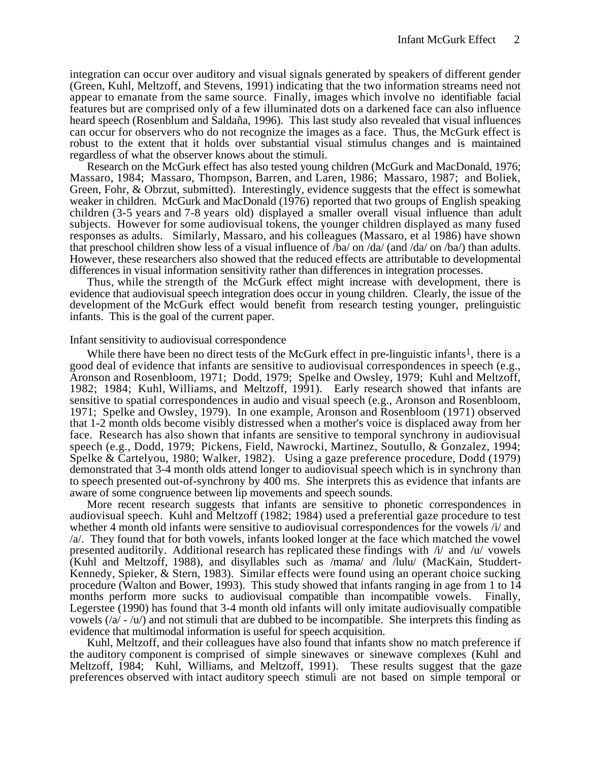integration can occur over auditory and visual signals generated by speakers of different gender (Green, Kuhl, Meltzoff, and Stevens, 1991) indicating that the two information streams need not appear to emanate from the same source. Finally, images which involve no identifiable facial features but are comprised only of a few illuminated dots on a darkened face can also influence heard speech (Rosenblum and Saldaña, 1996). This last study also revealed that visual influences can occur for observers who do not recognize the images as a face. Thus, the McGurk effect is robust to the extent that it holds over substantial visual stimulus changes and is maintained regardless of what the observer knows about the stimuli.

Research on the McGurk effect has also tested young children (McGurk and MacDonald, 1976; Massaro, 1984; Massaro, Thompson, Barren, and Laren, 1986; Massaro, 1987; and Boliek, Green, Fohr, & Obrzut, submitted). Interestingly, evidence suggests that the effect is somewhat weaker in children. McGurk and MacDonald (1976) reported that two groups of English speaking children (3-5 years and 7-8 years old) displayed a smaller overall visual influence than adult subjects. However for some audiovisual tokens, the younger children displayed as many fused responses as adults.Similarly, Massaro, and his colleagues (Massaro, et al 1986) have shown that preschool children show less of a visual influence of /ba/ on /da/ (and /da/ on /ba/) than adults. However, these researchers also showed that the reduced effects are attributable to developmental differences in visual information sensitivity rather than differences in integration processes.

Thus, while the strength of the McGurk effect might increase with development, there is evidence that audiovisual speech integration does occur in young children. Clearly, the issue of the development of the McGurk effect would benefit from research testing younger, prelinguistic infants. This is the goal of the current paper.

#### Infant sensitivity to audiovisual correspondence

While there have been no direct tests of the McGurk effect in pre-linguistic infants<sup>1</sup>, there is a good deal of evidence that infants are sensitive to audiovisual correspondences in speech (e.g., Aronson and Rosenbloom, 1971; Dodd, 1979; Spelke and Owsley, 1979; Kuhl and Meltzoff, 1982; 1984; Kuhl, Williams, and Meltzoff, 1991). Early research showed that infants are sensitive to spatial correspondences in audio and visual speech (e.g., Aronson and Rosenbloom, 1971; Spelke and Owsley, 1979). In one example, Aronson and Rosenbloom (1971) observed that 1-2 month olds become visibly distressed when a mother's voice is displaced away from her face. Research has also shown that infants are sensitive to temporal synchrony in audiovisual speech (e.g., Dodd, 1979; Pickens, Field, Nawrocki, Martinez, Soutullo, & Gonzalez, 1994; Spelke & Cartelyou, 1980; Walker, 1982). Using a gaze preference procedure, Dodd (1979) demonstrated that 3-4 month olds attend longer to audiovisual speech which is in synchrony than to speech presented out-of-synchrony by 400 ms. She interprets this as evidence that infants are aware of some congruence between lip movements and speech sounds.

More recent research suggests that infants are sensitive to phonetic correspondences in audiovisual speech. Kuhl and Meltzoff (1982; 1984) used a preferential gaze procedure to test whether 4 month old infants were sensitive to audiovisual correspondences for the vowels /i/ and /a/. They found that for both vowels, infants looked longer at the face which matched the vowel presented auditorily. Additional research has replicated these findings with  $\Delta t$  and  $\Delta t$  vowels (Kuhl and Meltzoff, 1988), and disyllables such as /mama/ and /lulu/ (MacKain, Studdert-Kennedy, Spieker, & Stern, 1983). Similar effects were found using an operant choice sucking procedure (Walton and Bower, 1993). This study showed that infants ranging in age from 1 to 14 months perform more sucks to audiovisual compatible than incompatible vowels. Finally, Legerstee (1990) has found that 3-4 month old infants will only imitate audiovisually compatible vowels  $(\alpha/-\alpha)$  and not stimuli that are dubbed to be incompatible. She interprets this finding as evidence that multimodal information is useful for speech acquisition.

Kuhl, Meltzoff, and their colleagues have also found that infants show no match preference if the auditory component is comprised of simple sinewaves or sinewave complexes (Kuhl and Meltzoff, 1984; Kuhl, Williams, and Meltzoff, 1991). These results suggest that the gaze preferences observed with intact auditory speech stimuli are not based on simple temporal or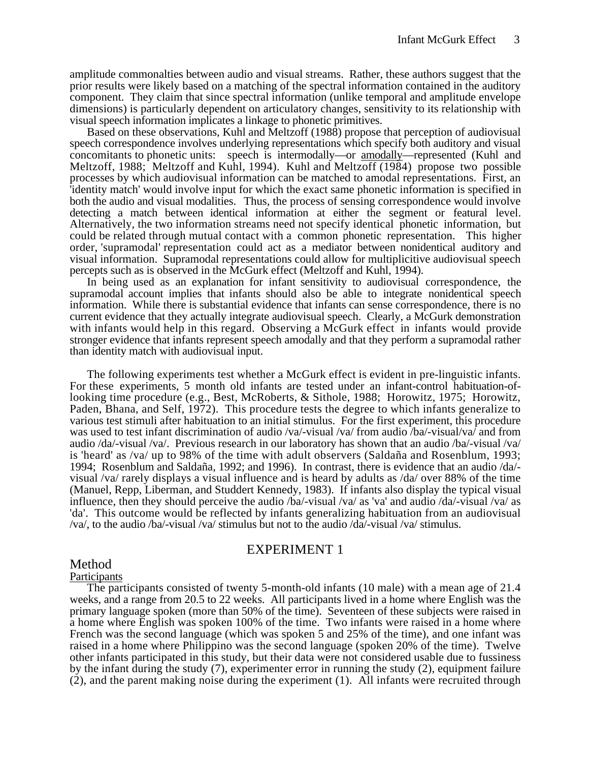amplitude commonalties between audio and visual streams. Rather, these authors suggest that the prior results were likely based on a matching of the spectral information contained in the auditory component. They claim that since spectral information (unlike temporal and amplitude envelope dimensions) is particularly dependent on articulatory changes, sensitivity to its relationship with visual speech information implicates a linkage to phonetic primitives.

Based on these observations, Kuhl and Meltzoff (1988) propose that perception of audiovisual speech correspondence involves underlying representations which specify both auditory and visual concomitants to phonetic units: speech is intermodally—or amodally —represented (Kuhl and Meltzoff, 1988; Meltzoff and Kuhl, 1994). Kuhl and Meltzoff (1984) propose two possible processes by which audiovisual information can be matched to amodal representations. First, an 'identity match' would involve input for which the exact same phonetic information is specified in both the audio and visual modalities.Thus, the process of sensing correspondence would involve detecting a match between identical information at either the segment or featural level. Alternatively, the two information streams need not specify identical phonetic information, but could be related through mutual contact with a common phonetic representation. This higher order, 'supramodal' representation could act as a mediator between nonidentical auditory and visual information. Supramodal representations could allow for multiplicitive audiovisual speech percepts such as is observed in the McGurk effect (Meltzoff and Kuhl, 1994).

In being used as an explanation for infant sensitivity to audiovisual correspondence, the supramodal account implies that infants should also be able to integrate nonidentical speech information. While there is substantial evidence that infants can sense correspondence, there is no current evidence that they actually integrate audiovisual speech. Clearly, a McGurk demonstration with infants would help in this regard. Observing a McGurk effect in infants would provide stronger evidence that infants represent speech amodally and that they perform a supramodal rather than identity match with audiovisual input.

The following experiments test whether a McGurk effect is evident in pre-linguistic infants. For these experiments, 5 month old infants are tested under an infant-control habituation-oflooking time procedure (e.g., Best, McRoberts, & Sithole, 1988; Horowitz, 1975; Horowitz, Paden, Bhana, and Self, 1972). This procedure tests the degree to which infants generalize to various test stimuli after habituation to an initial stimulus. For the first experiment, this procedure was used to test infant discrimination of audio /va/-visual /va/ from audio /ba/-visual/va/ and from audio /da/-visual /va/. Previous research in our laboratory has shown that an audio /ba/-visual /va/ is 'heard' as /va/ up to 98% of the time with adult observers (Saldaña and Rosenblum, 1993; 1994; Rosenblum and Saldaña, 1992; and 1996). In contrast, there is evidence that an audio /da/ visual /va/ rarely displays a visual influence and is heard by adults as /da/ over 88% of the time (Manuel, Repp, Liberman, and Studdert Kennedy, 1983). If infants also display the typical visual influence, then they should perceive the audio /ba/-visual /va/ as 'va' and audio /da/-visual /va/ as 'da'. This outcome would be reflected by infants generalizing habituation from an audiovisual /va/, to the audio /ba/-visual /va/ stimulus but not to the audio /da/-visual /va/ stimulus.

# EXPERIMENT 1

# Method

# Participants

The participants consisted of twenty 5-month-old infants (10 male) with a mean age of 21.4 weeks, and a range from 20.5 to 22 weeks. All participants lived in a home where English was the primary language spoken (more than 50% of the time). Seventeen of these subjects were raised in a home where English was spoken 100% of the time. Two infants were raised in a home where French was the second language (which was spoken 5 and 25% of the time), and one infant was raised in a home where Philippino was the second language (spoken 20% of the time). Twelve other infants participated in this study, but their data were not considered usable due to fussiness by the infant during the study (7), experimenter error in running the study (2), equipment failure (2), and the parent making noise during the experiment (1). All infants were recruited through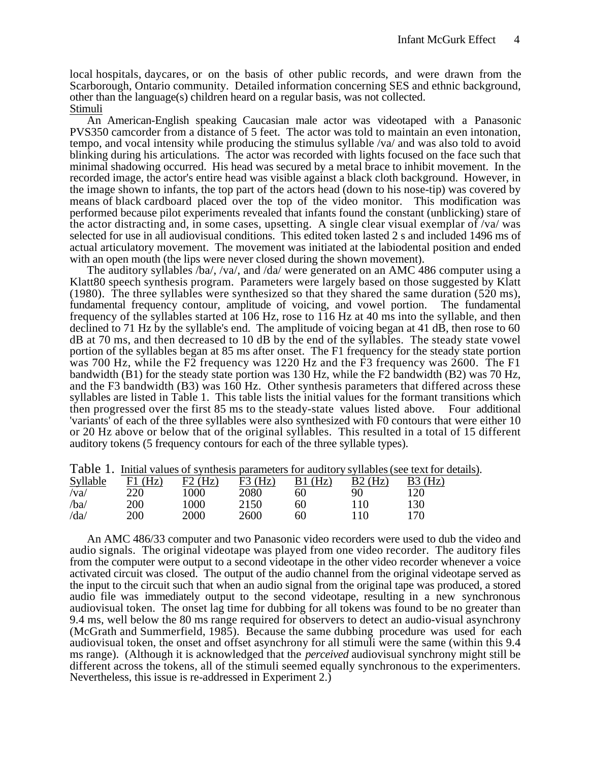local hospitals, daycares, or on the basis of other public records, and were drawn from the Scarborough, Ontario community. Detailed information concerning SES and ethnic background, other than the language(s) children heard on a regular basis, was not collected. Stimuli

An American-English speaking Caucasian male actor was videotaped with a Panasonic PVS350 camcorder from a distance of 5 feet. The actor was told to maintain an even intonation, tempo, and vocal intensity while producing the stimulus syllable /va/ and was also told to avoid blinking during his articulations. The actor was recorded with lights focused on the face such that minimal shadowing occurred. His head was secured by a metal brace to inhibit movement. In the recorded image, the actor's entire head was visible against a black cloth background. However, in the image shown to infants, the top part of the actors head (down to his nose-tip) was covered by means of black cardboard placed over the top of the video monitor. This modification was performed because pilot experiments revealed that infants found the constant (unblicking) stare of the actor distracting and, in some cases, upsetting. A single clear visual exemplar of  $/va$  was selected for use in all audiovisual conditions. This edited token lasted 2 s and included 1496 ms of actual articulatory movement. The movement was initiated at the labiodental position and ended with an open mouth (the lips were never closed during the shown movement).

The auditory syllables /ba/, /va/, and /da/ were generated on an AMC 486 computer using a Klatt80 speech synthesis program. Parameters were largely based on those suggested by Klatt (1980). The three syllables were synthesized so that they shared the same duration (520 ms), fundamental frequency contour, amplitude of voicing, and vowel portion. The fundamental frequency of the syllables started at 106 Hz, rose to 116 Hz at 40 ms into the syllable, and then declined to 71 Hz by the syllable's end. The amplitude of voicing began at 41 dB, then rose to 60 dB at 70 ms, and then decreased to 10 dB by the end of the syllables. The steady state vowel portion of the syllables began at 85 ms after onset. The F1 frequency for the steady state portion was 700 Hz, while the F2 frequency was 1220 Hz and the F3 frequency was 2600. The F1 bandwidth (B1) for the steady state portion was 130 Hz, while the F2 bandwidth (B2) was 70 Hz, and the F3 bandwidth (B3) was 160 Hz. Other synthesis parameters that differed across these syllables are listed in Table 1. This table lists the initial values for the formant transitions which then progressed over the first 85 ms to the steady-state values listed above. Four additional 'variants' of each of the three syllables were also synthesized with F0 contours that were either 10 or 20 Hz above or below that of the original syllables. This resulted in a total of 15 different auditory tokens (5 frequency contours for each of the three syllable types).

| TUOID TI    |           |           |           |            |           | THUM VALUES OF SYTHINGIS BURNHOLDIS TOF MUNICIPY SYTHIONS (SOC WALTOF GOM |
|-------------|-----------|-----------|-----------|------------|-----------|---------------------------------------------------------------------------|
| Syllable    | $F1$ (Hz) | $F2$ (Hz) | $F3$ (Hz) | (Hz)<br>B1 | $B2$ (Hz) | B3(Hz)                                                                    |
| $\sqrt{va}$ | 220       | 1000      | 2080      | 60         | 90        | 120                                                                       |
| /ba/        | 200       | 1000      | 2150      | 60         |           | 130                                                                       |
| /da/        | 200       | 2000      | 2600      | 60         |           | 170                                                                       |

Table 1. Initial values of synthesis parameters for auditory syllables (see text for details) .

An AMC 486/33 computer and two Panasonic video recorders were used to dub the video and audio signals. The original videotape was played from one video recorder. The auditory files from the computer were output to a second videotape in the other video recorder whenever a voice activated circuit was closed. The output of the audio channel from the original videotape served as the input to the circuit such that when an audio signal from the original tape was produced, a stored audio file was immediately output to the second videotape, resulting in a new synchronous audiovisual token. The onset lag time for dubbing for all tokens was found to be no greater than 9.4 ms, well below the 80 ms range required for observers to detect an audio-visual asynchrony (McGrath and Summerfield, 1985). Because the same dubbing procedure was used for each audiovisual token, the onset and offset asynchrony for all stimuli were the same (within this 9.4 ms range). (Although it is acknowledged that the *perceived* audiovisual synchrony might still be different across the tokens, all of the stimuli seemed equally synchronous to the experimenters. Nevertheless, this issue is re-addressed in Experiment 2.)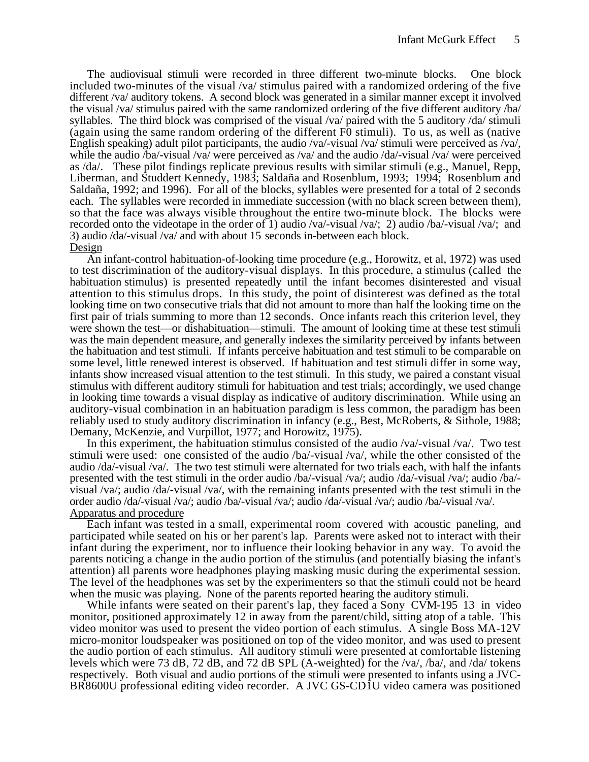The audiovisual stimuli were recorded in three different two-minute blocks. One block included two-minutes of the visual /va/ stimulus paired with a randomized ordering of the five different /va/ auditory tokens. A second block was generated in a similar manner except it involved the visual /va/ stimulus paired with the same randomized ordering of the five different auditory /ba/ syllables. The third block was comprised of the visual /va/ paired with the 5 auditory /da/ stimuli (again using the same random ordering of the different F0 stimuli). To us, as well as (native English speaking) adult pilot participants, the audio /va/-visual /va/ stimuli were perceived as /va/, while the audio /ba/-visual /va/ were perceived as /va/ and the audio /da/-visual /va/ were perceived as /da/.These pilot findings replicate previous results with similar stimuli (e.g., Manuel, Repp, Liberman, and Studdert Kennedy, 1983; Saldaña and Rosenblum, 1993; 1994; Rosenblum and Saldaña, 1992; and 1996). For all of the blocks, syllables were presented for a total of 2 seconds each. The syllables were recorded in immediate succession (with no black screen between them), so that the face was always visible throughout the entire two-minute block. The blocks were recorded onto the videotape in the order of 1) audio /va/-visual /va/; 2) audio /ba/-visual /va/; and 3) audio /da/-visual /va/ and with about 15 seconds in-between each block. Design

An infant-control habituation-of-looking time procedure (e.g., Horowitz, et al, 1972) was used to test discrimination of the auditory-visual displays. In this procedure, a stimulus (called the habituation stimulus) is presented repeatedly until the infant becomes disinterested and visual attention to this stimulus drops. In this study, the point of disinterest was defined as the total looking time on two consecutive trials that did not amount to more than half the looking time on the first pair of trials summing to more than 12 seconds. Once infants reach this criterion level, they were shown the test—or dishabituation—stimuli. The amount of looking time at these test stimuli was the main dependent measure, and generally indexes the similarity perceived by infants between the habituation and test stimuli. If infants perceive habituation and test stimuli to be comparable on some level, little renewed interest is observed. If habituation and test stimuli differ in some way, infants show increased visual attention to the test stimuli. In this study, we paired a constant visual stimulus with different auditory stimuli for habituation and test trials; accordingly, we used change in looking time towards a visual display as indicative of auditory discrimination. While using an auditory-visual combination in an habituation paradigm is less common, the paradigm has been reliably used to study auditory discrimination in infancy (e.g., Best, McRoberts, & Sithole, 1988; Demany, McKenzie, and Vurpillot, 1977; and Horowitz, 1975).

In this experiment, the habituation stimulus consisted of the audio /va/-visual /va/. Two test stimuli were used: one consisted of the audio /ba/-visual /va/, while the other consisted of the audio /da/-visual /va/. The two test stimuli were alternated for two trials each, with half the infants presented with the test stimuli in the order audio /ba/-visual /va/; audio /da/-visual /va/; audio /ba/ visual /va/; audio /da/-visual /va/, with the remaining infants presented with the test stimuli in the order audio /da/-visual /va/; audio /ba/-visual /va/; audio /da/-visual /va/; audio /ba/-visual /va/. Apparatus and procedure

Each infant was tested in a small, experimental room covered with acoustic paneling, and participated while seated on his or her parent's lap. Parents were asked not to interact with their infant during the experiment, nor to influence their looking behavior in any way. To avoid the parents noticing a change in the audio portion of the stimulus (and potentially biasing the infant's attention) all parents wore headphones playing masking music during the experimental session. The level of the headphones was set by the experimenters so that the stimuli could not be heard when the music was playing. None of the parents reported hearing the auditory stimuli.

While infants were seated on their parent's lap, they faced a Sony CVM-195 13 in video monitor, positioned approximately 12 in away from the parent/child, sitting atop of a table. This video monitor was used to present the video portion of each stimulus. A single Boss MA-12V micro-monitor loudspeaker was positioned on top of the video monitor, and was used to present the audio portion of each stimulus. All auditory stimuli were presented at comfortable listening levels which were 73 dB, 72 dB, and 72 dB SPL (A-weighted) for the /va/, /ba/, and /da/ tokens respectively.Both visual and audio portions of the stimuli were presented to infants using a JVC-BR8600U professional editing video recorder. A JVC GS-CD1U video camera was positioned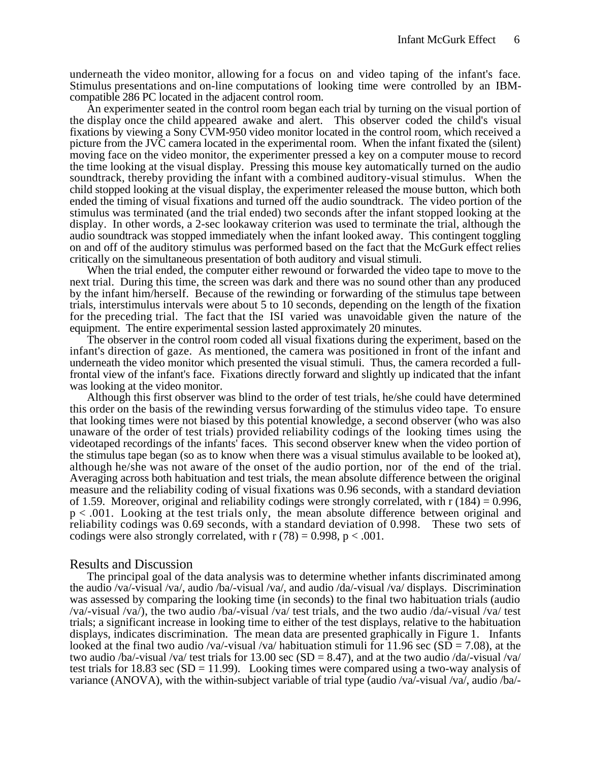underneath the video monitor, allowing for a focus on and video taping of the infant's face. Stimulus presentations and on-line computations of looking time were controlled by an IBMcompatible 286 PC located in the adjacent control room.

An experimenter seated in the control room began each trial by turning on the visual portion of the display once the child appeared awake and alert. This observer coded the child's visual fixations by viewing a Sony CVM-950 video monitor located in the control room, which received a picture from the JVC camera located in the experimental room. When the infant fixated the (silent) moving face on the video monitor, the experimenter pressed a key on a computer mouse to record the time looking at the visual display. Pressing this mouse key automatically turned on the audio soundtrack, thereby providing the infant with a combined auditory-visual stimulus. When the child stopped looking at the visual display, the experimenter released the mouse button, which both ended the timing of visual fixations and turned off the audio soundtrack. The video portion of the stimulus was terminated (and the trial ended) two seconds after the infant stopped looking at the display. In other words, a 2-sec lookaway criterion was used to terminate the trial, although the audio soundtrack was stopped immediately when the infant looked away. This contingent toggling on and off of the auditory stimulus was performed based on the fact that the McGurk effect relies critically on the simultaneous presentation of both auditory and visual stimuli.

When the trial ended, the computer either rewound or forwarded the video tape to move to the next trial. During this time, the screen was dark and there was no sound other than any produced by the infant him/herself. Because of the rewinding or forwarding of the stimulus tape between trials, interstimulus intervals were about 5 to 10 seconds, depending on the length of the fixation for the preceding trial. The fact that the ISI varied was unavoidable given the nature of the equipment. The entire experimental session lasted approximately 20 minutes.

The observer in the control room coded all visual fixations during the experiment, based on the infant's direction of gaze. As mentioned, the camera was positioned in front of the infant and underneath the video monitor which presented the visual stimuli. Thus, the camera recorded a fullfrontal view of the infant's face. Fixations directly forward and slightly up indicated that the infant was looking at the video monitor.

Although this first observer was blind to the order of test trials, he/she could have determined this order on the basis of the rewinding versus forwarding of the stimulus video tape. To ensure that looking times were not biased by this potential knowledge, a second observer (who was also unaware of the order of test trials) provided reliability codings of the looking times using the videotaped recordings of the infants' faces. This second observer knew when the video portion of the stimulus tape began (so as to know when there was a visual stimulus available to be looked at), although he/she was not aware of the onset of the audio portion, nor of the end of the trial. Averaging across both habituation and test trials, the mean absolute difference between the original measure and the reliability coding of visual fixations was 0.96 seconds, with a standard deviation of 1.59. Moreover, original and reliability codings were strongly correlated, with  $r(184) = 0.996$ , p < .001. Looking at the test trials only, the mean absolute difference between original and reliability codings was 0.69 seconds, with a standard deviation of 0.998. These two sets of codings were also strongly correlated, with  $r(78) = 0.998$ ,  $p < .001$ .

## Results and Discussion

The principal goal of the data analysis was to determine whether infants discriminated among the audio /va/-visual /va/, audio /ba/-visual /va/, and audio /da/-visual /va/ displays. Discrimination was assessed by comparing the looking time (in seconds) to the final two habituation trials (audio /va/-visual /va/), the two audio /ba/-visual /va/ test trials, and the two audio /da/-visual /va/ test trials; a significant increase in looking time to either of the test displays, relative to the habituation displays, indicates discrimination. The mean data are presented graphically in Figure 1.Infants looked at the final two audio /va/-visual /va/ habituation stimuli for 11.96 sec ( $SD = 7.08$ ), at the two audio /ba/-visual /va/ test trials for 13.00 sec (SD = 8.47), and at the two audio /da/-visual /va/ test trials for 18.83 sec  $(SD = 11.99)$ . Looking times were compared using a two-way analysis of variance (ANOVA), with the within-subject variable of trial type (audio /va/-visual /va/, audio /ba/-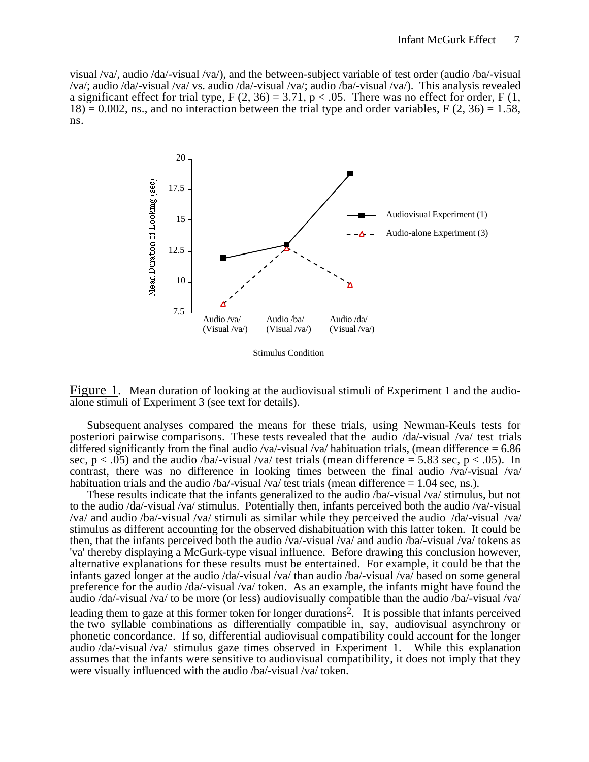visual /va/, audio /da/-visual /va/), and the between-subject variable of test order (audio /ba/-visual /va/; audio /da/-visual /va/ vs. audio /da/-visual /va/; audio /ba/-visual /va/). This analysis revealed a significant effect for trial type,  $F(2, 36) = 3.71$ ,  $p < .05$ . There was no effect for order,  $F(1, 1)$  $18$ ) = 0.002, ns., and no interaction between the trial type and order variables, F (2, 36) = 1.58, ns.



Stimulus Condition

Figure 1. Mean duration of looking at the audiovisual stimuli of Experiment 1 and the audioalone stimuli of Experiment 3 (see text for details).

Subsequent analyses compared the means for these trials, using Newman-Keuls tests for posteriori pairwise comparisons. These tests revealed that the audio /da/-visual /va/ test trials differed significantly from the final audio /va/-visual /va/ habituation trials, (mean difference  $= 6.86$ ) sec,  $p < .05$ ) and the audio /ba/-visual /va/ test trials (mean difference = 5.83 sec,  $p < .05$ ). In contrast, there was no difference in looking times between the final audio /va/-visual /va/ habituation trials and the audio /ba/-visual /va/ test trials (mean difference  $= 1.04$  sec, ns.).

These results indicate that the infants generalized to the audio /ba/-visual /va/ stimulus, but not to the audio /da/-visual /va/ stimulus. Potentially then, infants perceived both the audio /va/-visual /va/ and audio /ba/-visual /va/ stimuli as similar while they perceived the audio /da/-visual /va/ stimulus as different accounting for the observed dishabituation with this latter token. It could be then, that the infants perceived both the audio /va/-visual /va/ and audio /ba/-visual /va/ tokens as 'va' thereby displaying a McGurk-type visual influence. Before drawing this conclusion however, alternative explanations for these results must be entertained. For example, it could be that the infants gazed longer at the audio /da/-visual /va/ than audio /ba/-visual /va/ based on some general preference for the audio /da/-visual /va/ token. As an example, the infants might have found the audio /da/-visual /va/ to be more (or less) audiovisually compatible than the audio /ba/-visual /va/ leading them to gaze at this former token for longer durations2.It is possible that infants perceived the two syllable combinations as differentially compatible in, say, audiovisual asynchrony or phonetic concordance. If so, differential audiovisual compatibility could account for the longer audio /da/-visual /va/ stimulus gaze times observed in Experiment 1. While this explanation assumes that the infants were sensitive to audiovisual compatibility, it does not imply that they were visually influenced with the audio /ba/-visual /va/ token.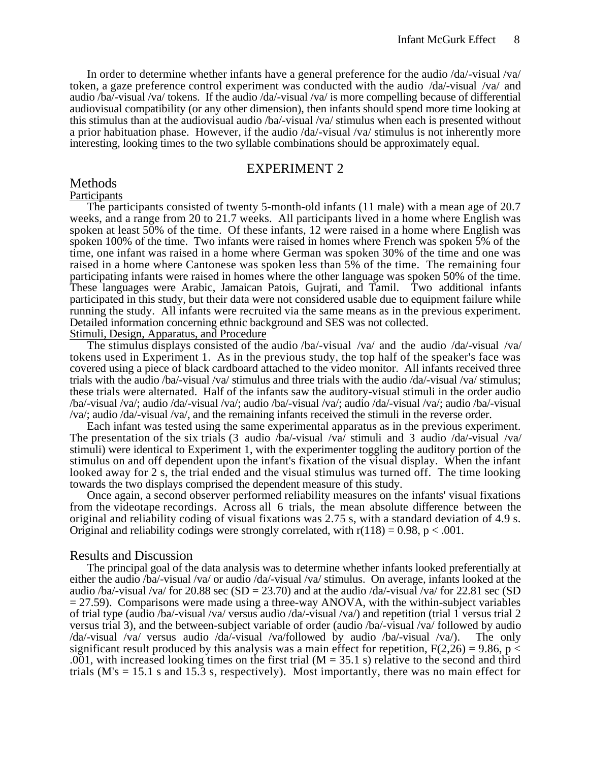In order to determine whether infants have a general preference for the audio /da/-visual /va/ token, a gaze preference control experiment was conducted with the audio /da/-visual /va/ and audio /ba/-visual /va/ tokens. If the audio /da/-visual /va/ is more compelling because of differential audiovisual compatibility (or any other dimension), then infants should spend more time looking at this stimulus than at the audiovisual audio /ba/-visual /va/ stimulus when each is presented without a prior habituation phase. However, if the audio /da/-visual /va/ stimulus is not inherently more interesting, looking times to the two syllable combinations should be approximately equal.

# EXPERIMENT 2

# Methods

#### Participants

The participants consisted of twenty 5-month-old infants (11 male) with a mean age of 20.7 weeks, and a range from 20 to 21.7 weeks. All participants lived in a home where English was spoken at least 50% of the time. Of these infants, 12 were raised in a home where English was spoken 100% of the time. Two infants were raised in homes where French was spoken 5% of the time, one infant was raised in a home where German was spoken 30% of the time and one was raised in a home where Cantonese was spoken less than 5% of the time. The remaining four participating infants were raised in homes where the other language was spoken 50% of the time. These languages were Arabic, Jamaican Patois, Gujrati, and Tamil. Two additional infants participated in this study, but their data were not considered usable due to equipment failure while running the study. All infants were recruited via the same means as in the previous experiment. Detailed information concerning ethnic background and SES was not collected.

Stimuli, Design, Apparatus, and Procedure

The stimulus displays consisted of the audio /ba/-visual /va/ and the audio /da/-visual /va/ tokens used in Experiment 1. As in the previous study, the top half of the speaker's face was covered using a piece of black cardboard attached to the video monitor. All infants received three trials with the audio /ba/-visual /va/ stimulus and three trials with the audio /da/-visual /va/ stimulus; these trials were alternated. Half of the infants saw the auditory-visual stimuli in the order audio /ba/-visual /va/; audio /da/-visual /va/; audio /ba/-visual /va/; audio /da/-visual /va/; audio /ba/-visual /va/; audio /da/-visual /va/, and the remaining infants received the stimuli in the reverse order.

Each infant was tested using the same experimental apparatus as in the previous experiment. The presentation of the six trials (3 audio /ba/-visual /va/ stimuli and 3 audio /da/-visual /va/ stimuli) were identical to Experiment 1, with the experimenter toggling the auditory portion of the stimulus on and off dependent upon the infant's fixation of the visual display. When the infant looked away for 2 s, the trial ended and the visual stimulus was turned off. The time looking towards the two displays comprised the dependent measure of this study.

Once again, a second observer performed reliability measures on the infants' visual fixations from the videotape recordings. Across all 6 trials, the mean absolute difference between the original and reliability coding of visual fixations was 2.75 s, with a standard deviation of 4.9 s. Original and reliability codings were strongly correlated, with  $r(118) = 0.98$ ,  $p < .001$ .

## Results and Discussion

The principal goal of the data analysis was to determine whether infants looked preferentially at either the audio /ba/-visual /va/ or audio /da/-visual /va/ stimulus. On average, infants looked at the audio /ba/-visual /va/ for 20.88 sec (SD = 23.70) and at the audio /da/-visual /va/ for 22.81 sec (SD  $= 27.59$ ). Comparisons were made using a three-way ANOVA, with the within-subject variables of trial type (audio /ba/-visual /va/ versus audio /da/-visual /va/) and repetition (trial 1 versus trial 2 versus trial 3), and the between-subject variable of order (audio /ba/-visual /va/ followed by audio /da/-visual /va/ versus audio /da/-visual /va/followed by audio /ba/-visual /va/). The only significant result produced by this analysis was a main effect for repetition,  $F(2,26) = 9.86$ , p < .001, with increased looking times on the first trial ( $M = 35.1$  s) relative to the second and third trials ( $M$ 's = 15.1 s and 15.3 s, respectively). Most importantly, there was no main effect for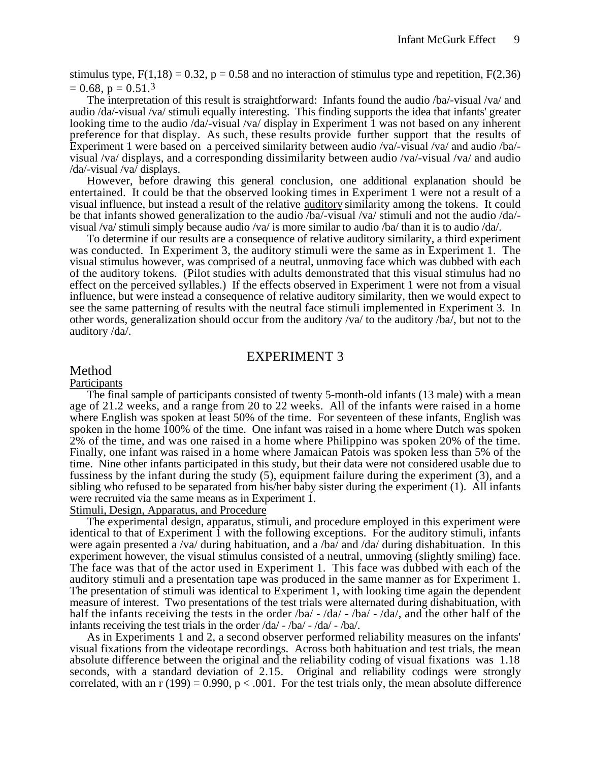stimulus type,  $F(1,18) = 0.32$ ,  $p = 0.58$  and no interaction of stimulus type and repetition,  $F(2,36)$  $= 0.68$ ,  $p = 0.51$ .<sup>3</sup>

The interpretation of this result is straightforward: Infants found the audio /ba/-visual /va/ and audio /da/-visual /va/ stimuli equally interesting. This finding supports the idea that infants' greater looking time to the audio /da/-visual /va/ display in Experiment 1 was not based on any inherent preference for that display. As such, these results provide further support that the results of Experiment 1 were based on a perceived similarity between audio /va/-visual /va/ and audio /ba/ visual /va/ displays, and a corresponding dissimilarity between audio /va/-visual /va/ and audio /da/-visual /va/ displays.

However, before drawing this general conclusion, one additional explanation should be entertained. It could be that the observed looking times in Experiment 1 were not a result of a visual influence, but instead a result of the relative auditory similarity among the tokens. It could be that infants showed generalization to the audio /ba/-visual /va/ stimuli and not the audio /da/ visual /va/ stimuli simply because audio /va/ is more similar to audio /ba/ than it is to audio /da/.

To determine if our results are a consequence of relative auditory similarity, a third experiment was conducted. In Experiment 3, the auditory stimuli were the same as in Experiment 1. The visual stimulus however, was comprised of a neutral, unmoving face which was dubbed with each of the auditory tokens. (Pilot studies with adults demonstrated that this visual stimulus had no effect on the perceived syllables.) If the effects observed in Experiment 1 were not from a visual influence, but were instead a consequence of relative auditory similarity, then we would expect to see the same patterning of results with the neutral face stimuli implemented in Experiment 3. In other words, generalization should occur from the auditory /va/ to the auditory /ba/, but not to the auditory /da/.

## EXPERIMENT 3

#### Method

#### **Participants**

The final sample of participants consisted of twenty 5-month-old infants (13 male) with a mean age of 21.2 weeks, and a range from 20 to 22 weeks. All of the infants were raised in a home where English was spoken at least 50% of the time. For seventeen of these infants, English was spoken in the home 100% of the time. One infant was raised in a home where Dutch was spoken 2% of the time, and was one raised in a home where Philippino was spoken 20% of the time. Finally, one infant was raised in a home where Jamaican Patois was spoken less than 5% of the time. Nine other infants participated in this study, but their data were not considered usable due to fussiness by the infant during the study (5), equipment failure during the experiment (3), and a sibling who refused to be separated from his/her baby sister during the experiment (1). All infants were recruited via the same means as in Experiment 1.

Stimuli, Design, Apparatus, and Procedure

The experimental design, apparatus, stimuli, and procedure employed in this experiment were identical to that of Experiment 1 with the following exceptions. For the auditory stimuli, infants were again presented a /va/ during habituation, and a /ba/ and /da/ during dishabituation. In this experiment however, the visual stimulus consisted of a neutral, unmoving (slightly smiling) face. The face was that of the actor used in Experiment 1. This face was dubbed with each of the auditory stimuli and a presentation tape was produced in the same manner as for Experiment 1. The presentation of stimuli was identical to Experiment 1, with looking time again the dependent measure of interest. Two presentations of the test trials were alternated during dishabituation, with half the infants receiving the tests in the order /ba/ - /da/ - /ba/ - /da/, and the other half of the infants receiving the test trials in the order /da/ - /ba/ - /da/ - /ba/.

As in Experiments 1 and 2, a second observer performed reliability measures on the infants' visual fixations from the videotape recordings. Across both habituation and test trials, the mean absolute difference between the original and the reliability coding of visual fixations was 1.18 seconds, with a standard deviation of 2.15. Original and reliability codings were strongly correlated, with an  $r(199) = 0.990$ ,  $p < .001$ . For the test trials only, the mean absolute difference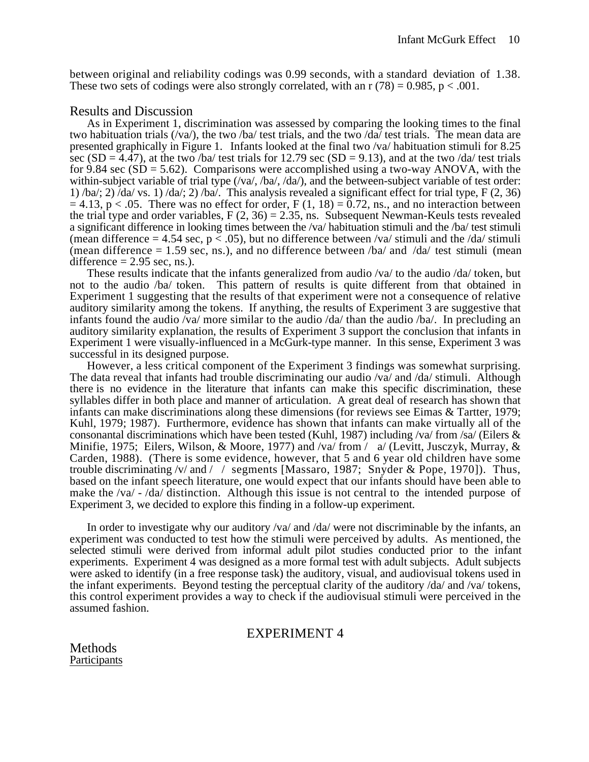between original and reliability codings was 0.99 seconds, with a standard deviation of 1.38. These two sets of codings were also strongly correlated, with an  $r(78) = 0.985$ ,  $p < .001$ .

## Results and Discussion

As in Experiment 1, discrimination was assessed by comparing the looking times to the final two habituation trials  $(\sqrt{va})$ , the two /ba/ test trials, and the two /da/ test trials. The mean data are presented graphically in Figure 1.Infants looked at the final two /va/ habituation stimuli for 8.25 sec (SD =  $4.\overline{47}$ ), at the two /ba/ test trials for 12.79 sec (SD = 9.13), and at the two /da/ test trials for 9.84 sec  $(SD = 5.62)$ . Comparisons were accomplished using a two-way ANOVA, with the within-subject variable of trial type  $(\sqrt{va}, \sqrt{ba}, \sqrt{da})$ , and the between-subject variable of test order: 1) /ba/; 2)  $\overline{d}$ da/ vs. 1) /da/; 2) /ba $\overline{d}$ . This analysis revealed a significant effect for trial type, F (2, 36)  $= 4.13$ , p < .05. There was no effect for order, F (1, 18) = 0.72, ns., and no interaction between the trial type and order variables,  $F(2, 36) = 2.35$ , ns. Subsequent Newman-Keuls tests revealed a significant difference in looking times between the /va/ habituation stimuli and the /ba/ test stimuli (mean difference  $= 4.54$  sec,  $p < .05$ ), but no difference between /va/ stimuli and the /da/ stimuli (mean difference  $= 1.59$  sec, ns.), and no difference between /ba/ and /da/ test stimuli (mean difference  $= 2.95$  sec, ns.).

These results indicate that the infants generalized from audio /va/ to the audio /da/ token, but not to the audio /ba/ token. This pattern of results is quite different from that obtained in Experiment 1 suggesting that the results of that experiment were not a consequence of relative auditory similarity among the tokens. If anything, the results of Experiment 3 are suggestive that infants found the audio /va/ more similar to the audio /da/ than the audio /ba/. In precluding an auditory similarity explanation, the results of Experiment 3 support the conclusion that infants in Experiment 1 were visually-influenced in a McGurk-type manner. In this sense, Experiment 3 was successful in its designed purpose.

However, a less critical component of the Experiment 3 findings was somewhat surprising. The data reveal that infants had trouble discriminating our audio /va/ and /da/ stimuli. Although there is no evidence in the literature that infants can make this specific discrimination, these syllables differ in both place and manner of articulation. A great deal of research has shown that infants can make discriminations along these dimensions (for reviews see Eimas & Tartter, 1979; Kuhl, 1979; 1987). Furthermore, evidence has shown that infants can make virtually all of the consonantal discriminations which have been tested (Kuhl, 1987) including /va/ from /sa/ (Eilers  $\&$ Minifie, 1975; Eilers, Wilson, & Moore, 1977) and /va/ from /a/ (Levitt, Jusczyk, Murray, & Carden, 1988). (There is some evidence, however, that 5 and 6 year old children have some trouble discriminating /v/ and // segments [Massaro, 1987; Snyder & Pope, 1970]). Thus, based on the infant speech literature, one would expect that our infants should have been able to make the /va/ - /da/ distinction. Although this issue is not central to the intended purpose of Experiment 3, we decided to explore this finding in a follow-up experiment.

In order to investigate why our auditory /va/ and /da/ were not discriminable by the infants, an experiment was conducted to test how the stimuli were perceived by adults. As mentioned, the selected stimuli were derived from informal adult pilot studies conducted prior to the infant experiments. Experiment 4 was designed as a more formal test with adult subjects. Adult subjects were asked to identify (in a free response task) the auditory, visual, and audiovisual tokens used in the infant experiments. Beyond testing the perceptual clarity of the auditory /da/ and /va/ tokens, this control experiment provides a way to check if the audiovisual stimuli were perceived in the assumed fashion.

# EXPERIMENT 4

Methods **Participants**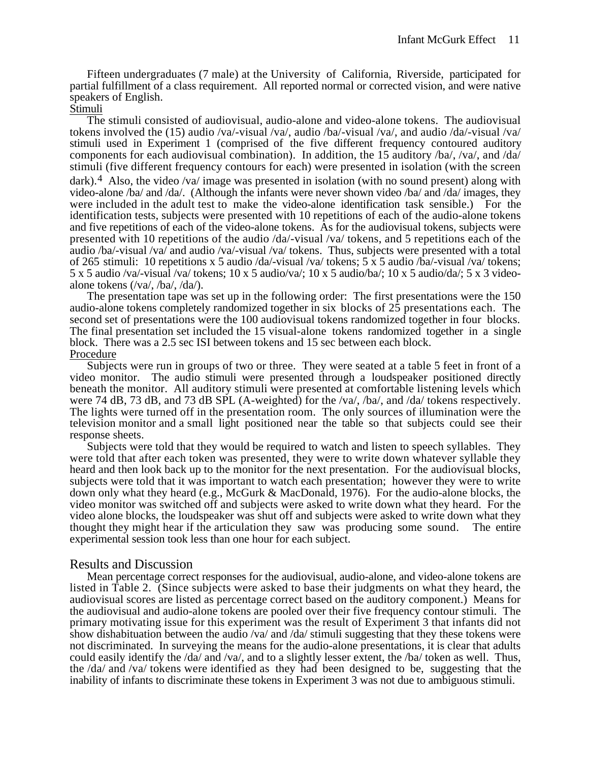Fifteen undergraduates (7 male) at the University of California, Riverside, participated for partial fulfillment of a class requirement. All reported normal or corrected vision, and were native speakers of English.

#### Stimuli

The stimuli consisted of audiovisual, audio-alone and video-alone tokens. The audiovisual tokens involved the (15) audio /va/-visual /va/, audio /ba/-visual /va/, and audio /da/-visual /va/ stimuli used in Experiment 1 (comprised of the five different frequency contoured auditory components for each audiovisual combination). In addition, the 15 auditory /ba/, /va/, and /da/ stimuli (five different frequency contours for each) were presented in isolation (with the screen dark).<sup>4</sup> Also, the video /va/ image was presented in isolation (with no sound present) along with video-alone /ba/ and /da/. (Although the infants were never shown video /ba/ and /da/ images, they were included in the adult test to make the video-alone identification task sensible.) For the identification tests, subjects were presented with 10 repetitions of each of the audio-alone tokens and five repetitions of each of the video-alone tokens. As for the audiovisual tokens, subjects were presented with 10 repetitions of the audio /da/-visual /va/ tokens, and 5 repetitions each of the audio /ba/-visual /va/ and audio /va/-visual /va/ tokens. Thus, subjects were presented with a total of 265 stimuli: 10 repetitions x 5 audio /da/-visual /va/ tokens; 5 x 5 audio /ba/-visual /va/ tokens;  $5 \times 5$  audio /va/-visual /va/ tokens; 10 x 5 audio/va/; 10 x 5 audio/ba/; 10 x 5 audio/da/; 5 x 3 videoalone tokens (/va/, /ba/, /da/).

The presentation tape was set up in the following order: The first presentations were the 150 audio-alone tokens completely randomized together in six blocks of 25 presentations each. The second set of presentations were the 100 audiovisual tokens randomized together in four blocks. The final presentation set included the 15 visual-alone tokens randomized together in a single block. There was a 2.5 sec ISI between tokens and 15 sec between each block. Procedure

Subjects were run in groups of two or three. They were seated at a table 5 feet in front of a video monitor. The audio stimuli were presented through a loudspeaker positioned directly beneath the monitor. All auditory stimuli were presented at comfortable listening levels which were 74 dB, 73 dB, and 73 dB SPL (A-weighted) for the /va/, /ba/, and /da/ tokens respectively. The lights were turned off in the presentation room. The only sources of illumination were the television monitor and a small light positioned near the table so that subjects could see their response sheets.

Subjects were told that they would be required to watch and listen to speech syllables. They were told that after each token was presented, they were to write down whatever syllable they heard and then look back up to the monitor for the next presentation. For the audiovisual blocks, subjects were told that it was important to watch each presentation; however they were to write down only what they heard (e.g., McGurk & MacDonald, 1976). For the audio-alone blocks, the video monitor was switched off and subjects were asked to write down what they heard. For the video alone blocks, the loudspeaker was shut off and subjects were asked to write down what they thought they might hear if the articulation they saw was producing some sound. The entire experimental session took less than one hour for each subject.

# Results and Discussion

Mean percentage correct responses for the audiovisual, audio-alone, and video-alone tokens are listed in Table 2. (Since subjects were asked to base their judgments on what they heard, the audiovisual scores are listed as percentage correct based on the auditory component.) Means for the audiovisual and audio-alone tokens are pooled over their five frequency contour stimuli. The primary motivating issue for this experiment was the result of Experiment 3 that infants did not show dishabituation between the audio /va/ and /da/ stimuli suggesting that they these tokens were not discriminated. In surveying the means for the audio-alone presentations, it is clear that adults could easily identify the /da/ and /va/, and to a slightly lesser extent, the /ba/ token as well. Thus, the /da/ and /va/ tokens were identified as they had been designed to be, suggesting that the inability of infants to discriminate these tokens in Experiment 3 was not due to ambiguous stimuli.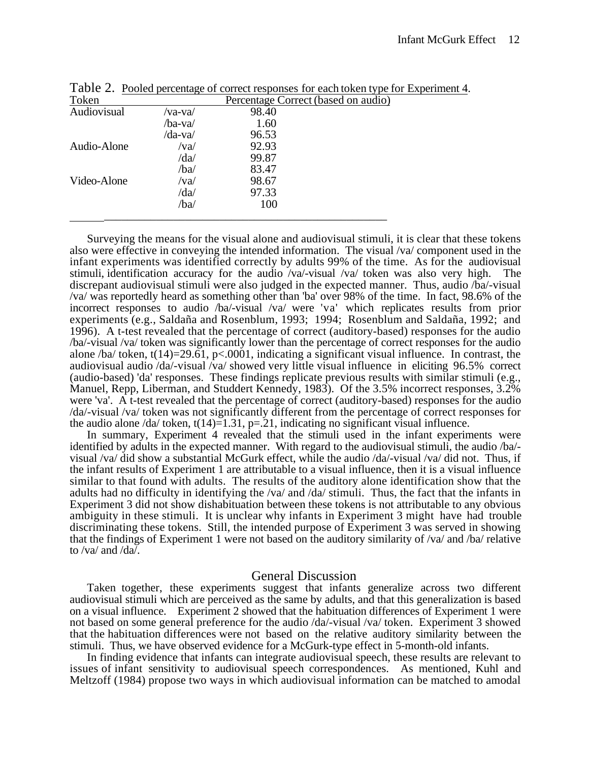| Token       |         | Percentage Correct (based on audio) |
|-------------|---------|-------------------------------------|
| Audiovisual | /va-va/ | 98.40                               |
|             | /ba-va/ | 1.60                                |
|             | /da-va/ | 96.53                               |
| Audio-Alone | /va/    | 92.93                               |
|             | /da/    | 99.87                               |
|             | /ba/    | 83.47                               |
| Video-Alone | /va/    | 98.67                               |
|             | /da/    | 97.33                               |
|             | /ba/    | 100                                 |
|             |         |                                     |

Table 2. Pooled percentage of correct responses for each token type for Experiment 4 .

Surveying the means for the visual alone and audiovisual stimuli, it is clear that these tokens also were effective in conveying the intended information. The visual /va/ component used in the infant experiments was identified correctly by adults 99% of the time. As for the audiovisual stimuli, identification accuracy for the audio /va/-visual /va/ token was also very high. The discrepant audiovisual stimuli were also judged in the expected manner. Thus, audio /ba/-visual /va/ was reportedly heard as something other than 'ba' over 98% of the time. In fact, 98.6% of the incorrect responses to audio /ba/-visual /va/ were 'va' which replicates results from prior experiments (e.g., Saldaña and Rosenblum, 1993; 1994; Rosenblum and Saldaña, 1992; and 1996). A t-test revealed that the percentage of correct (auditory-based) responses for the audio /ba/-visual /va/ token was significantly lower than the percentage of correct responses for the audio alone /ba/ token, t(14)=29.61, p<.0001, indicating a significant visual influence. In contrast, the audiovisual audio /da/-visual /va/ showed very little visual influence in eliciting 96.5% correct (audio-based) 'da' responses. These findings replicate previous results with similar stimuli (e.g., Manuel, Repp, Liberman, and Studdert Kennedy, 1983). Of the 3.5% incorrect responses, 3.2% were 'va'. A t-test revealed that the percentage of correct (auditory-based) responses for the audio /da/-visual /va/ token was not significantly different from the percentage of correct responses for the audio alone /da/ token,  $t(14)=1.31$ ,  $p=.21$ , indicating no significant visual influence.

In summary, Experiment 4 revealed that the stimuli used in the infant experiments were identified by adults in the expected manner. With regard to the audiovisual stimuli, the audio /ba/ visual /va/ did show a substantial McGurk effect, while the audio /da/-visual /va/ did not. Thus, if the infant results of Experiment 1 are attributable to a visual influence, then it is a visual influence similar to that found with adults. The results of the auditory alone identification show that the adults had no difficulty in identifying the /va/ and /da/ stimuli. Thus, the fact that the infants in Experiment 3 did not show dishabituation between these tokens is not attributable to any obvious ambiguity in these stimuli. It is unclear why infants in Experiment 3 might have had trouble discriminating these tokens. Still, the intended purpose of Experiment 3 was served in showing that the findings of Experiment 1 were not based on the auditory similarity of /va/ and /ba/ relative to /va/ and /da $\overline{l}$ .

## General Discussion

Taken together, these experiments suggest that infants generalize across two different audiovisual stimuli which are perceived as the same by adults, and that this generalization is based on a visual influence. Experiment 2 showed that the habituation differences of Experiment 1 were not based on some general preference for the audio /da/-visual /va/ token. Experiment 3 showed that the habituation differences were not based on the relative auditory similarity between the stimuli. Thus, we have observed evidence for a McGurk-type effect in 5-month-old infants.

In finding evidence that infants can integrate audiovisual speech, these results are relevant to issues of infant sensitivity to audiovisual speech correspondences. As mentioned, Kuhl and Meltzoff (1984) propose two ways in which audiovisual information can be matched to amodal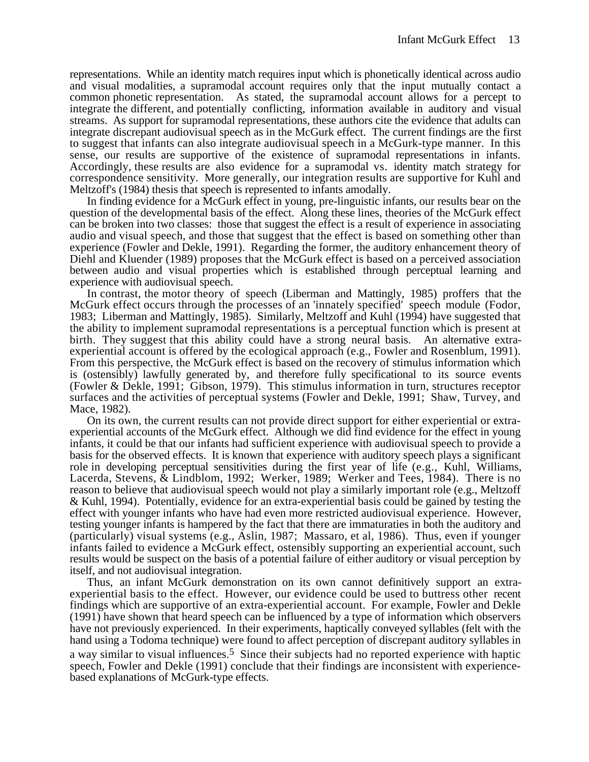representations. While an identity match requires input which is phonetically identical across audio and visual modalities, a supramodal account requires only that the input mutually contact a common phonetic representation. As stated, the supramodal account allows for a percept to integrate the different, and potentially conflicting, information available in auditory and visual streams. As support for supramodal representations, these authors cite the evidence that adults can integrate discrepant audiovisual speech as in the McGurk effect. The current findings are the first to suggest that infants can also integrate audiovisual speech in a McGurk-type manner. In this sense, our results are supportive of the existence of supramodal representations in infants. Accordingly, these results are also evidence for a supramodal vs. identity match strategy for correspondence sensitivity. More generally, our integration results are supportive for Kuhl and Meltzoff's (1984) thesis that speech is represented to infants amodally.

In finding evidence for a McGurk effect in young, pre-linguistic infants, our results bear on the question of the developmental basis of the effect. Along these lines, theories of the McGurk effect can be broken into two classes: those that suggest the effect is a result of experience in associating audio and visual speech, and those that suggest that the effect is based on something other than experience (Fowler and Dekle, 1991). Regarding the former, the auditory enhancement theory of Diehl and Kluender (1989) proposes that the McGurk effect is based on a perceived association between audio and visual properties which is established through perceptual learning and experience with audiovisual speech.

In contrast, the motor theory of speech (Liberman and Mattingly, 1985) proffers that the McGurk effect occurs through the processes of an 'innately specified' speech module (Fodor, 1983; Liberman and Mattingly, 1985). Similarly, Meltzoff and Kuhl (1994) have suggested that the ability to implement supramodal representations is a perceptual function which is present at birth. They suggest that this ability could have a strong neural basis. An alternative extraexperiential account is offered by the ecological approach (e.g., Fowler and Rosenblum, 1991). From this perspective, the McGurk effect is based on the recovery of stimulus information which is (ostensibly) lawfully generated by, and therefore fully specificational to its source events (Fowler & Dekle, 1991; Gibson, 1979). This stimulus information in turn, structures receptor surfaces and the activities of perceptual systems (Fowler and Dekle, 1991; Shaw, Turvey, and Mace, 1982).

On its own, the current results can not provide direct support for either experiential or extraexperiential accounts of the McGurk effect. Although we did find evidence for the effect in young infants, it could be that our infants had sufficient experience with audiovisual speech to provide a basis for the observed effects. It is known that experience with auditory speech plays a significant role in developing perceptual sensitivities during the first year of life (e.g., Kuhl, Williams, Lacerda, Stevens, & Lindblom, 1992; Werker, 1989; Werker and Tees, 1984). There is no reason to believe that audiovisual speech would not play a similarly important role (e.g., Meltzoff & Kuhl, 1994). Potentially, evidence for an extra-experiential basis could be gained by testing the effect with younger infants who have had even more restricted audiovisual experience. However, testing younger infants is hampered by the fact that there are immaturaties in both the auditory and (particularly) visual systems (e.g., Aslin, 1987; Massaro, et al, 1986). Thus, even if younger infants failed to evidence a McGurk effect, ostensibly supporting an experiential account, such results would be suspect on the basis of a potential failure of either auditory or visual perception by itself, and not audiovisual integration.

Thus, an infant McGurk demonstration on its own cannot definitively support an extraexperiential basis to the effect. However, our evidence could be used to buttress other recent findings which are supportive of an extra-experiential account. For example, Fowler and Dekle (1991) have shown that heard speech can be influenced by a type of information which observers have not previously experienced. In their experiments, haptically conveyed syllables (felt with the hand using a Todoma technique) were found to affect perception of discrepant auditory syllables in a way similar to visual influences.<sup>5</sup> Since their subjects had no reported experience with haptic speech, Fowler and Dekle (1991) conclude that their findings are inconsistent with experiencebased explanations of McGurk-type effects.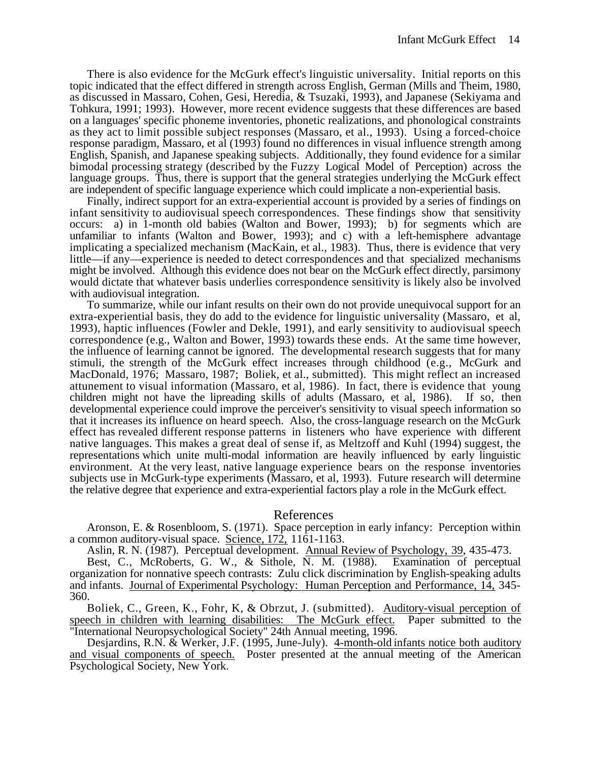There is also evidence for the McGurk effect's linguistic universality. Initial reports on this topic indicated that the effect differed in strength across English, German (Mills and Theim, 1980, as discussed in Massaro, Cohen, Gesi, Heredia, & Tsuzaki, 1993), and Japanese (Sekiyama and Tohkura, 1991; 1993). However, more recent evidence suggests that these differences are based on a languages' specific phoneme inventories, phonetic realizations, and phonological constraints as they act to limit possible subject responses (Massaro, et al., 1993). Using a forced-choice response paradigm, Massaro, et al (1993) found no differences in visual influence strength among English, Spanish, and Japanese speaking subjects. Additionally, they found evidence for a similar bimodal processing strategy (described by the Fuzzy Logical Model of Perception) across the language groups. Thus, there is support that the general strategies underlying the McGurk effect are independent of specific language experience which could implicate a non-experiential basis.

Finally, indirect support for an extra-experiential account is provided by a series of findings on infant sensitivity to audiovisual speech correspondences. These findings show that sensitivity occurs: a) in 1-month old babies (Walton and Bower, 1993); b) for segments which are unfamiliar to infants (Walton and Bower, 1993); and c) with a left-hemisphere advantage implicating a specialized mechanism (MacKain, et al., 1983). Thus, there is evidence that very little—if any—experience is needed to detect correspondences and that specialized mechanisms might be involved. Although this evidence does not bear on the McGurk effect directly, parsimony would dictate that whatever basis underlies correspondence sensitivity is likely also be involved with audiovisual integration.

To summarize, while our infant results on their own do not provide unequivocal support for an extra-experiential basis, they do add to the evidence for linguistic universality (Massaro, et al, 1993), haptic influences (Fowler and Dekle, 1991), and early sensitivity to audiovisual speech correspondence (e.g., Walton and Bower, 1993) towards these ends. At the same time however, the influence of learning cannot be ignored. The developmental research suggests that for many stimuli, the strength of the McGurk effect increases through childhood (e.g., McGurk and MacDonald, 1976; Massaro, 1987; Boliek, et al., submitted). This might reflect an increased attunement to visual information (Massaro, et al, 1986). In fact, there is evidence that young children might not have the lipreading skills of adults (Massaro, et al, 1986). If so, then developmental experience could improve the perceiver's sensitivity to visual speech information so that it increases its influence on heard speech. Also, the cross-language research on the McGurk effect has revealed different response patterns in listeners who have experience with different native languages. This makes a great deal of sense if, as Meltzoff and Kuhl (1994) suggest, the representations which unite multi-modal information are heavily influenced by early linguistic environment. At the very least, native language experience bears on the response inventories subjects use in McGurk-type experiments (Massaro, et al, 1993). Future research will determine the relative degree that experience and extra-experiential factors play a role in the McGurk effect.

## References

Aronson, E. & Rosenbloom, S. (1971). Space perception in early infancy: Perception within a common auditory-visual space. Science, 172, 1161-1163.

Aslin, R. N. (1987). Perceptual development. Annual Review of Psychology, 39 , 435-473.

Best, C., McRoberts, G. W., & Sithole, N. M. (1988). Examination of perceptual organization for nonnative speech contrasts: Zulu click discrimination by English-speaking adults and infants. Journal of Experimental Psychology: Human Perception and Performance, 14, 345- 360.

Boliek, C., Green, K., Fohr, K, & Obrzut, J. (submitted). Auditory-visual perception of speech in children with learning disabilities: The McGurk effect. Paper submitted to the "International Neuropsychological Society" 24th Annual meeting, 1996.

Desjardins, R.N. & Werker, J.F. (1995, June-July). 4-month-old infants notice both auditory and visual components of speech. Poster presented at the annual meeting of the American Psychological Society, New York.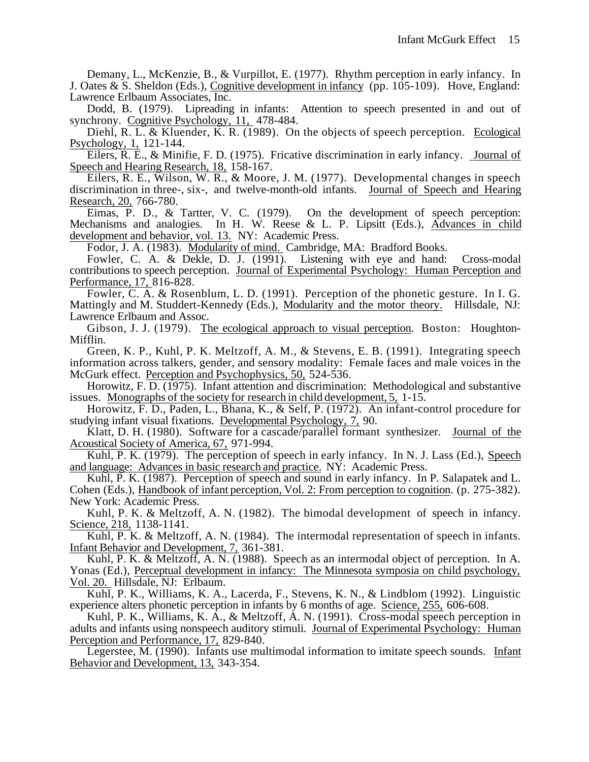Demany, L., McKenzie, B., & Vurpillot, E. (1977). Rhythm perception in early infancy. In J. Oates & S. Sheldon (Eds.), Cognitive development in infancy (pp. 105-109).Hove, England: Lawrence Erlbaum Associates, Inc.

Dodd, B. (1979). Lipreading in infants: Attention to speech presented in and out of synchrony. Cognitive Psychology, 11, 478-484.

Diehl, R. L. & Kluender, K. R. (1989). On the objects of speech perception. Ecological Psychology, 1, 121-144.

Eilers, R. E., & Minifie, F. D. (1975). Fricative discrimination in early infancy. Journal of Speech and Hearing Research, 18, 158-167.

Eilers, R. E., Wilson, W. R., & Moore, J. M. (1977). Developmental changes in speech discrimination in three-, six-, and twelve-month-old infants. Journal of Speech and Hearing Research, 20, 766-780.

Eimas, P. D., & Tartter, V. C. (1979). On the development of speech perception: Mechanisms and analogies. In H. W. Reese & L. P. Lipsitt (Eds.), Advances in child development and behavior, vol. 13. NY: Academic Press.

Fodor, J. A. (1983). Modularity of mind. Cambridge, MA: Bradford Books.

Fowler, C. A. & Dekle, D. J. (1991). Listening with eye and hand: Cross-modal contributions to speech perception. Journal of Experimental Psychology: Human Perception and Performance, 17, 816-828.

Fowler, C. A. & Rosenblum, L. D. (1991). Perception of the phonetic gesture. In I. G. Mattingly and M. Studdert-Kennedy (Eds.), Modularity and the motor theory. Hillsdale, NJ: Lawrence Erlbaum and Assoc.

Gibson, J. J. (1979). The ecological approach to visual perception. Boston: Houghton-Mifflin.

Green, K. P., Kuhl, P. K. Meltzoff, A. M., & Stevens, E. B. (1991). Integrating speech information across talkers, gender, and sensory modality: Female faces and male voices in the McGurk effect. Perception and Psychophysics, 50, 524-536.

Horowitz, F. D. (1975). Infant attention and discrimination: Methodological and substantive issues. Monographs of the society for research in child development, 5, 1-15.

Horowitz, F. D., Paden, L., Bhana, K., & Self, P. (1972). An infant-control procedure for studying infant visual fixations. Developmental Psychology, 7, 90.

Klatt, D. H. (1980). Software for a cascade/parallel formant synthesizer. Journal of the Acoustical Society of America, 67, 971-994.

Kuhl, P. K. (1979). The perception of speech in early infancy. In N. J. Lass (Ed.), Speech and language: Advances in basic research and practice. NY: Academic Press.

Kuhl, P. K. (1987). Perception of speech and sound in early infancy. In P. Salapatek and L. Cohen (Eds.), Handbook of infant perception, Vol. 2: From perception to cognition . (p. 275-382). New York: Academic Press.

Kuhl, P. K. & Meltzoff, A. N. (1982). The bimodal development of speech in infancy. Science, 218, 1138-1141.

Kuhl, P. K. & Meltzoff, A. N. (1984). The intermodal representation of speech in infants. Infant Behavior and Development, 7, 361-381.

Kuhl, P. K. & Meltzoff, A. N. (1988). Speech as an intermodal object of perception. In A. Yonas (Ed.), Perceptual development in infancy: The Minnesota symposia on child psychology, Vol. 20. Hillsdale, NJ: Erlbaum.

Kuhl, P. K., Williams, K. A., Lacerda, F., Stevens, K. N., & Lindblom (1992). Linguistic experience alters phonetic perception in infants by 6 months of age. Science, 255, 606-608.

Kuhl, P. K., Williams, K. A., & Meltzoff, A. N. (1991). Cross-modal speech perception in adults and infants using nonspeech auditory stimuli. Journal of Experimental Psychology: Human Perception and Performance, 17, 829-840.

Legerstee, M. (1990). Infants use multimodal information to imitate speech sounds. Infant Behavior and Development, 13, 343-354.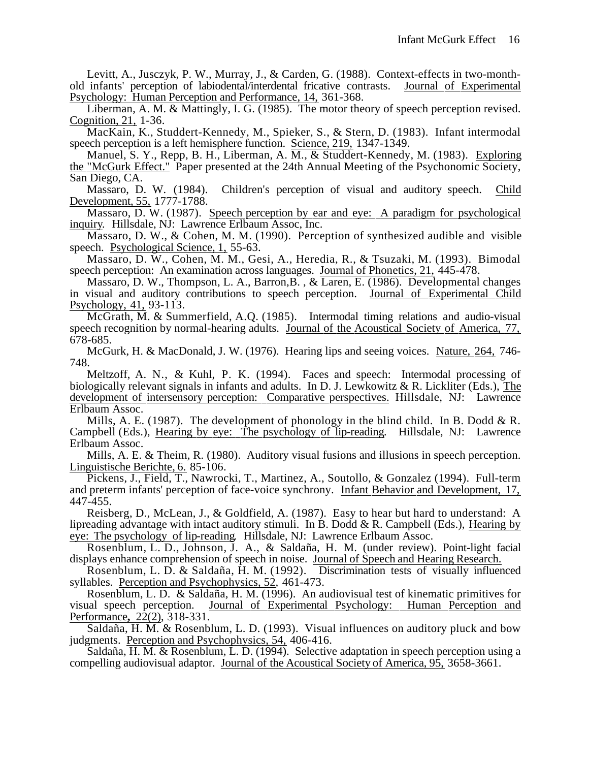Levitt, A., Jusczyk, P. W., Murray, J., & Carden, G. (1988). Context-effects in two-monthold infants' perception of labiodental/interdental fricative contrasts. Journal of Experimental Psychology: Human Perception and Performance, 14, 361-368.

Liberman, A. M. & Mattingly, I. G. (1985). The motor theory of speech perception revised. Cognition, 21, 1-36.

MacKain, K., Studdert-Kennedy, M., Spieker, S., & Stern, D. (1983). Infant intermodal speech perception is a left hemisphere function. Science, 219, 1347-1349.

Manuel, S. Y., Repp, B. H., Liberman, A. M., & Studdert-Kennedy, M. (1983). Exploring the "McGurk Effect." Paper presented at the 24th Annual Meeting of the Psychonomic Society, San Diego, CA.

Massaro, D. W. (1984). Children's perception of visual and auditory speech. Child Development, 55, 1777-1788.

Massaro, D. W. (1987). Speech perception by ear and eye: A paradigm for psychological inquiry. Hillsdale, NJ: Lawrence Erlbaum Assoc, Inc.

Massaro, D. W., & Cohen, M. M. (1990). Perception of synthesized audible and visible speech. Psychological Science, 1, 55-63.

Massaro, D. W., Cohen, M. M., Gesi, A., Heredia, R., & Tsuzaki, M. (1993). Bimodal speech perception: An examination across languages. Journal of Phonetics, 21, 445-478.

Massaro, D. W., Thompson, L. A., Barron,B. , & Laren, E. (1986). Developmental changes in visual and auditory contributions to speech perception. Journal of Experimental Child Psychology, 41, 93-113.

McGrath, M. & Summerfield, A.Q. (1985). Intermodal timing relations and audio-visual speech recognition by normal-hearing adults. Journal of the Acoustical Society of America, 77, 678-685.

McGurk, H. & MacDonald, J. W. (1976). Hearing lips and seeing voices. Nature, 264, 746- 748.

Meltzoff, A. N., & Kuhl, P. K. (1994). Faces and speech: Intermodal processing of biologically relevant signals in infants and adults. In D. J. Lewkowitz & R. Lickliter (Eds.), The development of intersensory perception: Comparative perspectives. Hillsdale, NJ: Lawrence Erlbaum Assoc.

Mills, A. E. (1987). The development of phonology in the blind child. In B. Dodd & R. Campbell (Eds.), Hearing by eye: The psychology of lip-reading. Hillsdale, NJ: Lawrence Erlbaum Assoc.

Mills, A. E. & Theim, R. (1980). Auditory visual fusions and illusions in speech perception. Linguistische Berichte, 6. 85-106.

Pickens, J., Field, T., Nawrocki, T., Martinez, A., Soutollo, & Gonzalez (1994). Full-term and preterm infants' perception of face-voice synchrony. Infant Behavior and Development, 17, 447-455.

Reisberg, D., McLean, J., & Goldfield, A. (1987). Easy to hear but hard to understand: A lipreading advantage with intact auditory stimuli. In B. Dodd & R. Campbell (Eds.), Hearing by eye: The psychology of lip -reading *.* Hillsdale, NJ: Lawrence Erlbaum Assoc.

Rosenblum, L. D., Johnson, J. A., & Saldaña, H. M. (under review). Point-light facial displays enhance comprehension of speech in noise. Journal of Speech and Hearing Research.

Rosenblum, L. D. & Saldaña, H. M. (1992). Discrimination tests of visually influenced syllables. Perception and Psychophysics, 52, 461-473.

Rosenblum, L. D. & Saldaña, H. M. (1996). An audiovisual test of kinematic primitives for visual speech perception. Journal of Experimental Psychology: Human Perception and Performance, 22(2), 318-331.

Saldaña, H. M. & Rosenblum, L. D. (1993). Visual influences on auditory pluck and bow judgments. Perception and Psychophysics, 54, 406-416.

Saldaña, H. M. & Rosenblum, L. D. (1994). Selective adaptation in speech perception using a compelling audiovisual adaptor. Journal of the Acoustical Society of America, 95, 3658-3661.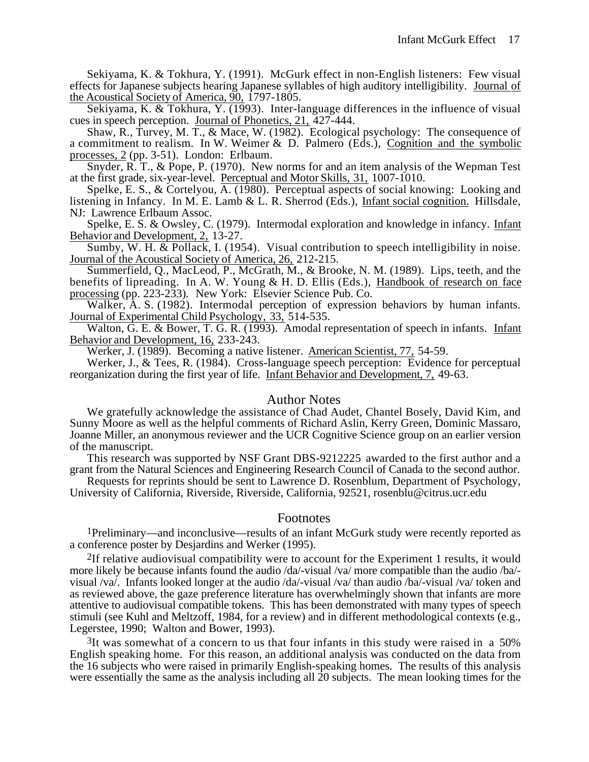Sekiyama, K. & Tokhura, Y. (1991). McGurk effect in non-English listeners: Few visual effects for Japanese subjects hearing Japanese syllables of high auditory intelligibility. Journal of the Acoustical Society of America, 90, 1797-1805.

Sekiyama, K. & Tokhura, Y. (1993). Inter-language differences in the influence of visual cues in speech perception. Journal of Phonetics, 21, 427-444.

Shaw, R., Turvey, M. T., & Mace, W. (1982). Ecological psychology: The consequence of a commitment to realism. In W. Weimer & D. Palmero (Eds.), Cognition and the symbolic processes, 2(pp. 3-51). London: Erlbaum.

Snyder, R. T., & Pope, P. (1970). New norms for and an item analysis of the Wepman Test at the first grade, six-year-level. Perceptual and Motor Skills, 31, 1007-1010.

Spelke, E. S., & Cortelyou, A. (1980). Perceptual aspects of social knowing: Looking and listening in Infancy. In M. E. Lamb & L. R. Sherrod (Eds.), Infant social cognition. Hillsdale, NJ: Lawrence Erlbaum Assoc.

Spelke, E. S. & Owsley, C. (1979). Intermodal exploration and knowledge in infancy. Infant Behavior and Development, 2, 13-27.

Sumby, W. H. & Pollack, I. (1954). Visual contribution to speech intelligibility in noise. Journal of the Acoustical Society of America, 26, 212-215.

Summerfield, Q., MacLeod, P., McGrath, M., & Brooke, N. M. (1989). Lips, teeth, and the benefits of lipreading. In A. W. Young  $\&$  H. D. Ellis (Eds.), Handbook of research on face processing (pp. 223-233)*.* New York: Elsevier Science Pub. Co.

Walker, A. S. (1982). Intermodal perception of expression behaviors by human infants. Journal of Experimental Child Psychology, 33, 514-535.

Walton, G. E. & Bower, T. G. R. (1993). Amodal representation of speech in infants. Infant Behavior and Development, 16, 233-243.

Werker, J. (1989). Becoming a native listener. American Scientist, 77, 54-59.

Werker, J., & Tees, R. (1984). Cross-language speech perception: Evidence for perceptual reorganization during the first year of life. Infant Behavior and Development, 7, 49-63.

## Author Notes

We gratefully acknowledge the assistance of Chad Audet, Chantel Bosely, David Kim, and Sunny Moore as well as the helpful comments of Richard Aslin, Kerry Green, Dominic Massaro, Joanne Miller, an anonymous reviewer and the UCR Cognitive Science group on an earlier version of the manuscript.

This research was supported by NSF Grant DBS-9212225 awarded to the first author and a grant from the Natural Sciences and Engineering Research Council of Canada to the second author.

Requests for reprints should be sent to Lawrence D. Rosenblum, Department of Psychology, University of California, Riverside, Riverside, California, 92521, rosenblu@citrus.ucr.edu

## Footnotes

1Preliminary—and inconclusive—results of an infant McGurk study were recently reported as a conference poster by Desjardins and Werker (1995).

2If relative audiovisual compatibility were to account for the Experiment 1 results, it would more likely be because infants found the audio /da/-visual /va/ more compatible than the audio /ba/ visual /va/. Infants looked longer at the audio /da/-visual /va/ than audio /ba/-visual /va/ token and as reviewed above, the gaze preference literature has overwhelmingly shown that infants are more attentive to audiovisual compatible tokens. This has been demonstrated with many types of speech stimuli (see Kuhl and Meltzoff, 1984, for a review) and in different methodological contexts (e.g., Legerstee, 1990; Walton and Bower, 1993).

 $3$ It was somewhat of a concern to us that four infants in this study were raised in a 50% English speaking home. For this reason, an additional analysis was conducted on the data from the 16 subjects who were raised in primarily English-speaking homes. The results of this analysis were essentially the same as the analysis including all 20 subjects. The mean looking times for the